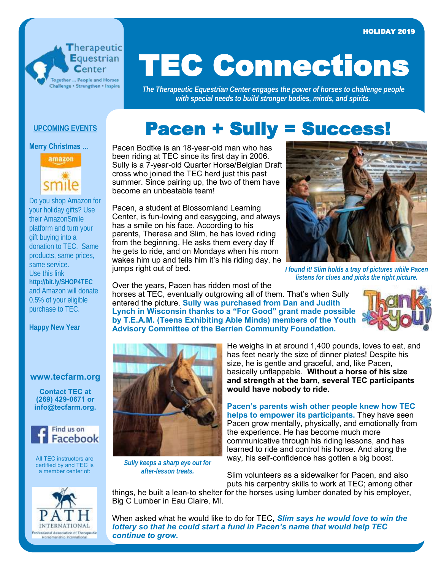

# TEC Connections

*The Therapeutic Equestrian Center engages the power of horses to challenge people with special needs to build stronger bodies, minds, and spirits.*

### Pacen + Sully = Success!

#### **Merry Christmas …**

**UPCOMING EVENTS**



Do you shop Amazon for your holiday gifts? Use their AmazonSmile platform and turn your gift buying into a donation to TEC. Same products, same prices, same service. Use this link **http://bit.ly/SHOP4TEC** and Amazon will donate 0.5% of your eligible purchase to TEC.

**Happy New Year**

#### **www.tecfarm.org**

**Contact TEC at (269) 429-0671 or info@tecfarm.org.**



All TEC instructors are certified by and TEC is a member center of:



Pacen Bodtke is an 18-year-old man who has been riding at TEC since its first day in 2006. Sully is a 7-year-old Quarter Horse/Belgian Draft cross who joined the TEC herd just this past summer. Since pairing up, the two of them have become an unbeatable team!

Pacen, a student at Blossomland Learning Center, is fun-loving and easygoing, and always has a smile on his face. According to his parents, Theresa and Slim, he has loved riding from the beginning. He asks them every day If he gets to ride, and on Mondays when his mom wakes him up and tells him it's his riding day, he jumps right out of bed.



*I found it! Slim holds a tray of pictures while Pacen listens for clues and picks the right picture.*

Over the years, Pacen has ridden most of the horses at TEC, eventually outgrowing all of them. That's when Sully entered the picture. **Sully was purchased from Dan and Judith Lynch in Wisconsin thanks to a "For Good" grant made possible by T.E.A.M. (Teens Exhibiting Able Minds) members of the Youth Advisory Committee of the Berrien Community Foundation.**





*Sully keeps a sharp eye out for after-lesson treats.*

He weighs in at around 1,400 pounds, loves to eat, and has feet nearly the size of dinner plates! Despite his size, he is gentle and graceful, and, like Pacen, basically unflappable. **Without a horse of his size and strength at the barn, several TEC participants would have nobody to ride.**

**Pacen's parents wish other people knew how TEC helps to empower its participants.** They have seen Pacen grow mentally, physically, and emotionally from the experience. He has become much more communicative through his riding lessons, and has learned to ride and control his horse. And along the way, his self-confidence has gotten a big boost.

Slim volunteers as a sidewalker for Pacen, and also puts his carpentry skills to work at TEC; among other

things, he built a lean-to shelter for the horses using lumber donated by his employer, Big C Lumber in Eau Claire, MI.

When asked what he would like to do for TEC, *Slim says he would love to win the lottery so that he could start a fund in Pacen's name that would help TEC continue to grow.*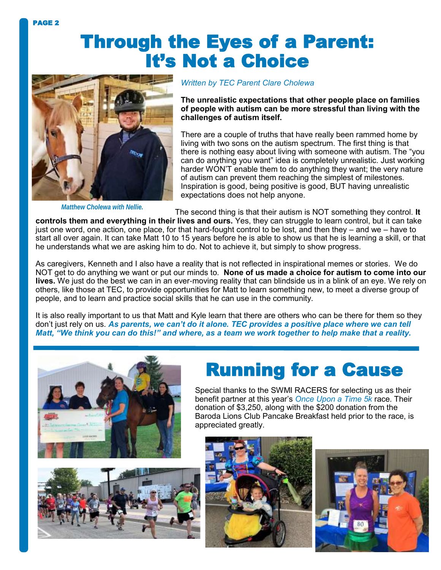## Through the Eyes of a Parent: It's Not a Choice



*Matthew Cholewa with Nellie.*

#### *Written by TEC Parent Clare Cholewa*

**The unrealistic expectations that other people place on families of people with autism can be more stressful than living with the challenges of autism itself.**

There are a couple of truths that have really been rammed home by living with two sons on the autism spectrum. The first thing is that there is nothing easy about living with someone with autism. The "you can do anything you want" idea is completely unrealistic. Just working harder WON'T enable them to do anything they want; the very nature of autism can prevent them reaching the simplest of milestones. Inspiration is good, being positive is good, BUT having unrealistic expectations does not help anyone.

The second thing is that their autism is NOT something they control. **It** 

**controls them and everything in their lives and ours.** Yes, they can struggle to learn control, but it can take just one word, one action, one place, for that hard-fought control to be lost, and then they – and we – have to start all over again. It can take Matt 10 to 15 years before he is able to show us that he is learning a skill, or that he understands what we are asking him to do. Not to achieve it, but simply to show progress.

As caregivers, Kenneth and I also have a reality that is not reflected in inspirational memes or stories. We do NOT get to do anything we want or put our minds to. **None of us made a choice for autism to come into our lives.** We just do the best we can in an ever-moving reality that can blindside us in a blink of an eye. We rely on others, like those at TEC, to provide opportunities for Matt to learn something new, to meet a diverse group of people, and to learn and practice social skills that he can use in the community.

It is also really important to us that Matt and Kyle learn that there are others who can be there for them so they don't just rely on us. As parents, we can't do it alone. TEC provides a positive place where we can tell *Matt, "We think you can do this!" and where, as a team we work together to help make that a reality.*





## Running for a Cause

Special thanks to the SWMI RACERS for selecting us as their benefit partner at this year's *Once Upon a Time 5k* race. Their donation of \$3,250, along with the \$200 donation from the Baroda Lions Club Pancake Breakfast held prior to the race, is appreciated greatly.



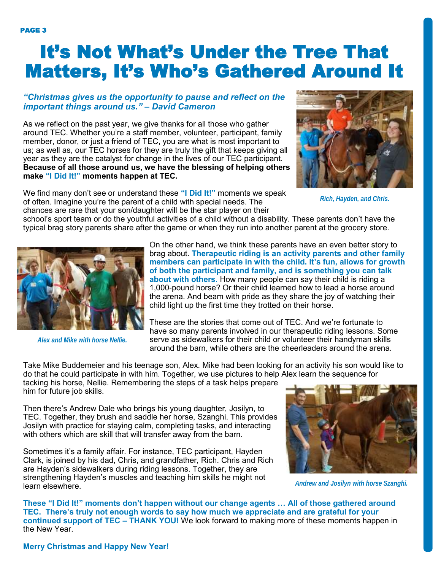### It's Not What's Under the Tree That Matters, It's Who's Gathered Around It

#### *"Christmas gives us the opportunity to pause and reflect on the important things around us." – David Cameron*

As we reflect on the past year, we give thanks for all those who gather around TEC. Whether you're a staff member, volunteer, participant, family member, donor, or just a friend of TEC, you are what is most important to us; as well as, our TEC horses for they are truly the gift that keeps giving all year as they are the catalyst for change in the lives of our TEC participant. **Because of all those around us, we have the blessing of helping others make "I Did It!" moments happen at TEC.**

We find many don't see or understand these **"I Did It!"** moments we speak of often. Imagine you're the parent of a child with special needs. The chances are rare that your son/daughter will be the star player on their



*Rich, Hayden, and Chris.*

school's sport team or do the youthful activities of a child without a disability. These parents don't have the typical brag story parents share after the game or when they run into another parent at the grocery store.



*Alex and Mike with horse Nellie.*

On the other hand, we think these parents have an even better story to brag about. **Therapeutic riding is an activity parents and other family members can participate in with the child. It's fun, allows for growth of both the participant and family, and is something you can talk about with others.** How many people can say their child is riding a 1,000-pound horse? Or their child learned how to lead a horse around the arena. And beam with pride as they share the joy of watching their child light up the first time they trotted on their horse.

These are the stories that come out of TEC. And we're fortunate to have so many parents involved in our therapeutic riding lessons. Some serve as sidewalkers for their child or volunteer their handyman skills around the barn, while others are the cheerleaders around the arena.

Take Mike Buddemeier and his teenage son, Alex. Mike had been looking for an activity his son would like to do that he could participate in with him. Together, we use pictures to help Alex learn the sequence for

tacking his horse, Nellie. Remembering the steps of a task helps prepare him for future job skills.

Then there's Andrew Dale who brings his young daughter, Josilyn, to TEC. Together, they brush and saddle her horse, Szanghi. This provides Josilyn with practice for staying calm, completing tasks, and interacting with others which are skill that will transfer away from the barn.

Sometimes it's a family affair. For instance, TEC participant, Hayden Clark, is joined by his dad, Chris, and grandfather, Rich. Chris and Rich are Hayden's sidewalkers during riding lessons. Together, they are strengthening Hayden's muscles and teaching him skills he might not learn elsewhere.



*Andrew and Josilyn with horse Szanghi.*

**These "I Did It!" moments don't happen without our change agents … All of those gathered around TEC. There's truly not enough words to say how much we appreciate and are grateful for your continued support of TEC – THANK YOU!** We look forward to making more of these moments happen in the New Year.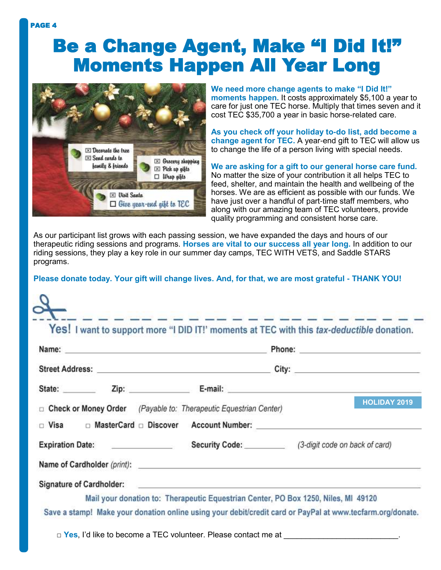## Be a Change Agent, Make "I Did It!" Moments Happen All Year Long



**We need more change agents to make "I Did It!" moments happen.** It costs approximately \$5,100 a year to care for just one TEC horse. Multiply that times seven and it cost TEC \$35,700 a year in basic horse-related care.

**As you check off your holiday to-do list, add become a change agent for TEC.** A year-end gift to TEC will allow us to change the life of a person living with special needs.

**We are asking for a gift to our general horse care fund.**  No matter the size of your contribution it all helps TEC to feed, shelter, and maintain the health and wellbeing of the horses. We are as efficient as possible with our funds. We have just over a handful of part-time staff members, who along with our amazing team of TEC volunteers, provide quality programming and consistent horse care.

As our participant list grows with each passing session, we have expanded the days and hours of our therapeutic riding sessions and programs. **Horses are vital to our success all year long.** In addition to our riding sessions, they play a key role in our summer day camps, TEC WITH VETS, and Saddle STARS programs.

**Please donate today. Your gift will change lives. And, for that, we are most grateful - THANK YOU!**

### نا کے لیے ک Yes! I want to support more "I DID IT!' moments at TEC with this tax-deductible donation. Name: Name: All and the state of the state of the state of the state of the state of the state of the state of the state of the state of the state of the state of the state of the state of the state of the state of the sta Phone: The contract of the contract of the contract of the contract of the contract of the contract of the contract of the contract of the contract of the contract of the contract of the contract of the contract of the con

| State:                          |  | Zip: E-mail: E-mail: E-mail: E-mail: E-mail: E-mail: E-mail: E-mail: E-mail: E-mail: E-mail: E-mail: E-mail: E-mail: E-mail: E-mail: E-mail: E-mail: E-mail: E-mail: E-mail: E-mail: E-mail: E-mail: E-mail: E-mail: E-mail: E |                                                                                                           |
|---------------------------------|--|--------------------------------------------------------------------------------------------------------------------------------------------------------------------------------------------------------------------------------|-----------------------------------------------------------------------------------------------------------|
|                                 |  | □ Check or Money Order (Payable to: Therapeutic Equestrian Center)                                                                                                                                                             | <b>HOLIDAY 2019</b>                                                                                       |
| □ Visa □ MasterCard □ Discover  |  |                                                                                                                                                                                                                                |                                                                                                           |
| Expiration Date: ______________ |  |                                                                                                                                                                                                                                | Security Code: (3-digit code on back of card)                                                             |
|                                 |  |                                                                                                                                                                                                                                |                                                                                                           |
|                                 |  |                                                                                                                                                                                                                                |                                                                                                           |
|                                 |  | Mail your donation to: Therapeutic Equestrian Center, PO Box 1250, Niles, MI 49120                                                                                                                                             |                                                                                                           |
|                                 |  |                                                                                                                                                                                                                                | Save a stamp! Make your donation online using your debit/credit card or PayPal at www.tecfarm.org/donate. |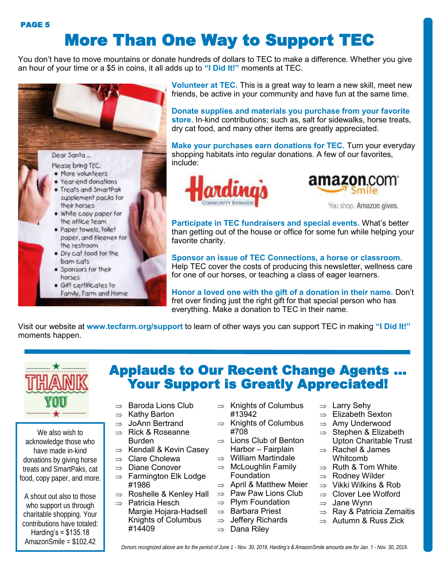### More Than One Way to Support TEC

You don't have to move mountains or donate hundreds of dollars to TEC to make a difference. Whether you give an hour of your time or a \$5 in coins, it all adds up to **"I Did It!"** moments at TEC.



**Volunteer at TEC.** This is a great way to learn a new skill, meet new friends, be active in your community and have fun at the same time.

**Donate supplies and materials you purchase from your favorite store.** In-kind contributions; such as, salt for sidewalks, horse treats, dry cat food, and many other items are greatly appreciated.

**Make your purchases earn donations for TEC.** Turn your everyday shopping habitats into regular donations. A few of our favorites, include:





You shop. Amazon gives.

**Participate in TEC fundraisers and special events.** What's better than getting out of the house or office for some fun while helping your favorite charity.

**Sponsor an issue of TEC Connections, a horse or classroom.**  Help TEC cover the costs of producing this newsletter, wellness care for one of our horses, or teaching a class of eager learners.

**Honor a loved one with the gift of a donation in their name.** Don't fret over finding just the right gift for that special person who has everything. Make a donation to TEC in their name.

Visit our website at **www.tecfarm.org/support** to learn of other ways you can support TEC in making **"I Did It!"**  moments happen.



We also wish to acknowledge those who have made in-kind donations by giving horse treats and SmartPaks, cat food, copy paper, and more.

A shout out also to those who support us through charitable shopping. Your contributions have totaled: Harding's = \$135.18 AmazonSmile = \$102.42

### Applauds to Our Recent Change Agents … Your Support is Greatly Appreciated!

- $\Rightarrow$  Baroda Lions Club
- $\Rightarrow$  Kathy Barton
- $\Rightarrow$  JoAnn Bertrand
- $\Rightarrow$  Rick & Roseanne Burden
- $\Rightarrow$  Kendall & Kevin Casey
- $\Rightarrow$  Clare Cholewa
- $\Rightarrow$  Diane Conover
- $\Rightarrow$  Farmington Elk Lodge #1986
- $\Rightarrow$  Roshelle & Kenley Hall
- $\Rightarrow$  Patricia Hesch Margie Hojara-Hadsell Knights of Columbus #14409
- $\Rightarrow$  Knights of Columbus #13942
- $\Rightarrow$  Knights of Columbus #708
- $\Rightarrow$  Lions Club of Benton Harbor – Fairplain
- $\Rightarrow$  William Martindale
- $\Rightarrow$  McLoughlin Family Foundation
- $\Rightarrow$  April & Matthew Meier
- $\Rightarrow$  Paw Paw Lions Club
- $\Rightarrow$  Plym Foundation
- $\Rightarrow$  Barbara Priest
- $\Rightarrow$  Jeffery Richards
- $\Rightarrow$  Dana Riley
- $\Rightarrow$  Larry Sehy
- $\Rightarrow$  Elizabeth Sexton
- $\Rightarrow$  Amy Underwood
- $\Rightarrow$  Stephen & Elizabeth
- Upton Charitable Trust  $\Rightarrow$  Rachel & James
- Whitcomb
- $\Rightarrow$  Ruth & Tom White
- $\Rightarrow$  Rodney Wilder
- $\Rightarrow$  Vikki Wilkins & Rob
- $\Rightarrow$  Clover Lee Wolford
- $\Rightarrow$  Jane Wynn
- $\Rightarrow$  Ray & Patricia Zemaitis
- $\Rightarrow$  Autumn & Russ Zick
- *Donors recognized above are for the period of June 1 - Nov. 30, 2019. Harding's & AmazonSmile amounts are for Jan. 1 - Nov. 30, 2019.*